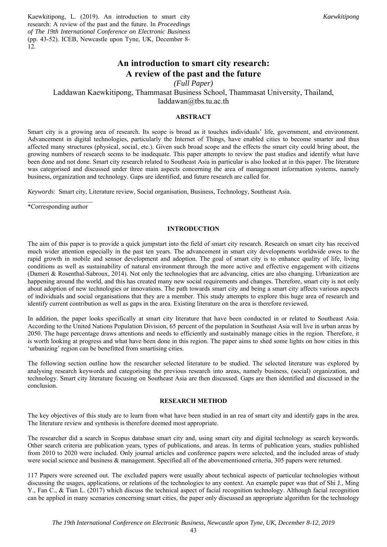Kaewkitipong, L. (2019). An introduction to smart city research: A review of the past and the future. In *Proceedings of The 19th International Conference on Electronic Business* (pp. 43-52). ICEB, Newcastle upon Tyne, UK, December 8- 12.

# **An introduction to smart city research: A review of the past and the future**

*(Full Paper)* 

Laddawan Kaewkitipong, Thammasat Business School, Thammasat University, Thailand, laddawan@tbs.tu.ac.th

# **ABSTRACT**

Smart city is a growing area of research. Its scope is broad as it touches individuals' life, government, and environment. Advancement in digital technologies, particularly the Internet of Things, have enabled cities to become smarter and thus affected many structures (physical, social, etc.). Given such broad scope and the effects the smart city could bring about, the growing numbers of research seems to be inadequate. This paper attempts to review the past studies and identify what have been done and not done. Smart city research related to Southeast Asia in particular is also looked at in this paper. The literature was categorised and discussed under three main aspects concerning the area of management information systems, namely business, organization and technology. Gaps are identified, and future research are called for.

*Keywords*: Smart city, Literature review, Social organisation, Business, Technology, Southeast Asia.

 $\mathcal{L}=\mathcal{L}=\mathcal{L}=\mathcal{L}=\mathcal{L}=\mathcal{L}=\mathcal{L}=\mathcal{L}=\mathcal{L}=\mathcal{L}=\mathcal{L}=\mathcal{L}=\mathcal{L}=\mathcal{L}=\mathcal{L}=\mathcal{L}=\mathcal{L}=\mathcal{L}=\mathcal{L}=\mathcal{L}=\mathcal{L}=\mathcal{L}=\mathcal{L}=\mathcal{L}=\mathcal{L}=\mathcal{L}=\mathcal{L}=\mathcal{L}=\mathcal{L}=\mathcal{L}=\mathcal{L}=\mathcal{L}=\mathcal{L}=\mathcal{L}=\mathcal{L}=\mathcal{L}=\mathcal{$ \*Corresponding author

#### **INTRODUCTION**

The aim of this paper is to provide a quick jumpstart into the field of smart city research. Research on smart city has received much wider attention especially in the past ten years. The advancement in smart city developments worldwide owes to the rapid growth in mobile and sensor development and adoption. The goal of smart city is to enhance quality of life, living conditions as well as sustainability of natural environment through the more active and effective engagement with citizens (Dameri & Rosenthal-Sabroux, 2014). Not only the technologies that are advancing, cities are also changing. Urbanization are happening around the world, and this has created many new social requirements and changes. Therefore, smart city is not only about adoption of new technologies or innovations. The path towards smart city and being a smart city affects various aspects of individuals and social organisations that they are a member. This study attempts to explore this huge area of research and identify current contribution as well as gaps in the area. Existing literature on the area is therefore reviewed.

In addition, the paper looks specifically at smart city literature that have been conducted in or related to Southeast Asia. According to the United Nations Population Division, 65 percent of the population in Southeast Asia will live in urban areas by 2050. The huge percentage draws attentions and needs to efficiently and sustainably manage cities in the region. Therefore, it is worth looking at progress and what have been done in this region. The paper aims to shed some lights on how cities in this 'urbanizing' region can be benefitted from smartising cities.

The following section outline how the researcher selected literature to be studied. The selected literature was explored by analysing research keywords and categorising the previous research into areas, namely business, (social) organization, and technology. Smart city literature focusing on Southeast Asia are then discussed. Gaps are then identified and discussed in the conclusion.

#### **RESEARCH METHOD**

The key objectives of this study are to learn from what have been studied in an rea of smart city and identify gaps in the area. The literature review and synthesis is therefore deemed most appropriate.

The researcher did a search in Scopus database smart city and, using smart city and digital technology as search keywords. Other search criteria are publication years, types of publications, and areas. In terms of publication years, studies published from 2010 to 2020 were included. Only journal articles and conference papers were selected, and the included areas of study were social science and business & management. Specified all of the abovementioned criteria, 305 papers were returned.

117 Papers were screened out. The excluded papers were usually about technical aspects of particular technologies without discussing the usages, applications, or relations of the technologies to any context. An example paper was that of Shi J., Ming Y., Fan C., & Tian L. (2017) which discuss the technical aspect of facial recognition technology. Although facial recognition can be applied in many scenarios concerning smart cities, the paper only discussed an appropriate algorithm for the technology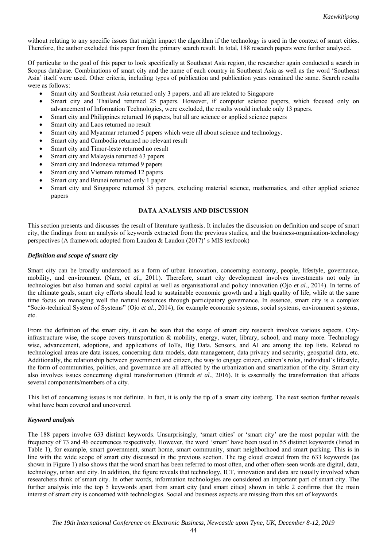without relating to any specific issues that might impact the algorithm if the technology is used in the context of smart cities. Therefore, the author excluded this paper from the primary search result. In total, 188 research papers were further analysed.

Of particular to the goal of this paper to look specifically at Southeast Asia region, the researcher again conducted a search in Scopus database. Combinations of smart city and the name of each country in Southeast Asia as well as the word 'Southeast Asia' itself were used. Other criteria, including types of publication and publication years remained the same. Search results were as follows:

- Smart city and Southeast Asia returned only 3 papers, and all are related to Singapore
- Smart city and Thailand returned 25 papers. However, if computer science papers, which focused only on advancement of Information Technologies, were excluded, the results would include only 13 papers.
- Smart city and Philippines returned 16 papers, but all are science or applied science papers
- Smart city and Laos returned no result
- Smart city and Myanmar returned 5 papers which were all about science and technology.
- Smart city and Cambodia returned no relevant result
- Smart city and Timor-leste returned no result
- Smart city and Malaysia returned 63 papers
- Smart city and Indonesia returned 9 papers
- Smart city and Vietnam returned 12 papers
- Smart city and Brunei returned only 1 paper
- Smart city and Singapore returned 35 papers, excluding material science, mathematics, and other applied science papers

## **DATA ANALYSIS AND DISCUSSION**

This section presents and discusses the result of literature synthesis. It includes the discussion on definition and scope of smart city, the findings from an analysis of keywords extracted from the previous studies, and the business-organisation-technology perspectives (A framework adopted from Laudon & Laudon (2017)' s MIS textbook)

## *Definition and scope of smart city*

Smart city can be broadly understood as a form of urban innovation, concerning economy, people, lifestyle, governance, mobility, and environment (Nam, *et al.*, 2011). Therefore, smart city development involves investments not only in technologies but also human and social capital as well as organisational and policy innovation (Ojo *et al.*, 2014). In terms of the ultimate goals, smart city efforts should lead to sustainable economic growth and a high quality of life, while at the same time focus on managing well the natural resources through participatory governance. In essence, smart city is a complex "Socio-technical System of Systems" (Ojo *et al.*, 2014), for example economic systems, social systems, environment systems, etc.

From the definition of the smart city, it can be seen that the scope of smart city research involves various aspects. Cityinfrastructure wise, the scope covers transportation & mobility, energy, water, library, school, and many more. Technology wise, advancement, adoptions, and applications of IoTs, Big Data, Sensors, and AI are among the top lists. Related to technological areas are data issues, concerning data models, data management, data privacy and security, geospatial data, etc. Additionally, the relationship between government and citizen, the way to engage citizen, citizen's roles, individual's lifestyle, the form of communities, politics, and governance are all affected by the urbanization and smartization of the city. Smart city also involves issues concerning digital transformation (Brandt *et al.*, 2016). It is essentially the transformation that affects several components/members of a city.

This list of concerning issues is not definite. In fact, it is only the tip of a smart city iceberg. The next section further reveals what have been covered and uncovered.

## *Keyword analysis*

The 188 papers involve 633 distinct keywords. Unsurprisingly, 'smart cities' or 'smart city' are the most popular with the frequency of 73 and 46 occurrences respectively. However, the word 'smart' have been used in 55 distinct keywords (listed in Table 1), for example, smart government, smart home, smart community, smart neighborhood and smart parking. This is in line with the wide scope of smart city discussed in the previous section. The tag cloud created from the 633 keywords (as shown in Figure 1) also shows that the word smart has been referred to most often, and other often-seen words are digital, data, technology, urban and city. In addition, the figure reveals that technology, ICT, innovation and data are usually involved when researchers think of smart city. In other words, information technologies are considered an important part of smart city. The further analysis into the top 5 keywords apart from smart city (and smart cities) shown in table 2 confirms that the main interest of smart city is concerned with technologies. Social and business aspects are missing from this set of keywords.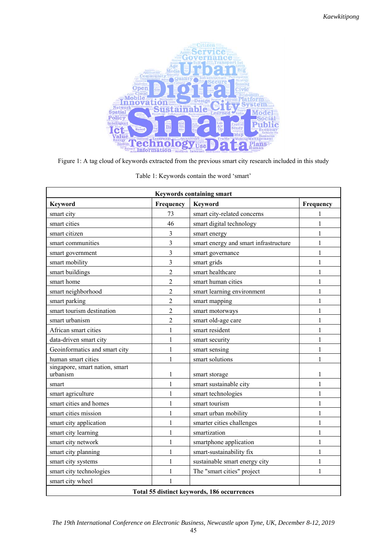

Figure 1: A tag cloud of keywords extracted from the previous smart city research included in this study

| <b>Keywords containing smart</b>            |                |                                       |              |  |  |
|---------------------------------------------|----------------|---------------------------------------|--------------|--|--|
| <b>Keyword</b>                              | Frequency      | <b>Keyword</b>                        | Frequency    |  |  |
| smart city                                  | 73             | smart city-related concerns           | 1            |  |  |
| smart cities                                | 46             | smart digital technology              | 1            |  |  |
| smart citizen                               | 3              | smart energy                          | 1            |  |  |
| smart communities                           | 3              | smart energy and smart infrastructure | 1            |  |  |
| smart government                            | 3              | smart governance                      | 1            |  |  |
| smart mobility                              | $\overline{3}$ | smart grids                           | 1            |  |  |
| smart buildings                             | $\overline{2}$ | smart healthcare                      | 1            |  |  |
| smart home                                  | $\overline{2}$ | smart human cities                    | 1            |  |  |
| smart neighborhood                          | $\overline{2}$ | smart learning environment            | 1            |  |  |
| smart parking                               | $\overline{2}$ | smart mapping                         | 1            |  |  |
| smart tourism destination                   | $\overline{2}$ | smart motorways                       | 1            |  |  |
| smart urbanism                              | $\overline{2}$ | smart old-age care                    | 1            |  |  |
| African smart cities                        | $\mathbf{1}$   | smart resident                        | 1            |  |  |
| data-driven smart city                      | $\mathbf{1}$   | smart security                        | 1            |  |  |
| Geoinformatics and smart city               | $\mathbf{1}$   | smart sensing                         | 1            |  |  |
| human smart cities                          | 1              | smart solutions                       | 1            |  |  |
| singapore, smart nation, smart<br>urbanism  | 1              | smart storage                         | 1            |  |  |
| smart                                       | $\mathbf{1}$   | smart sustainable city                | 1            |  |  |
| smart agriculture                           | 1              | smart technologies                    | $\mathbf{1}$ |  |  |
| smart cities and homes                      | $\mathbf{1}$   | smart tourism                         | $\mathbf{1}$ |  |  |
| smart cities mission                        | 1              | smart urban mobility                  | 1            |  |  |
| smart city application                      | 1              | smarter cities challenges             | 1            |  |  |
| smart city learning                         | 1              | smartization                          | 1            |  |  |
| smart city network                          | $\mathbf{1}$   | smartphone application                | $\mathbf{1}$ |  |  |
| smart city planning                         | 1              | smart-sustainability fix              | 1            |  |  |
| smart city systems                          | 1              | sustainable smart energy city         | 1            |  |  |
| smart city technologies                     | $\mathbf{1}$   | The "smart cities" project            | 1            |  |  |
| smart city wheel                            |                |                                       |              |  |  |
| Total 55 distinct keywords, 186 occurrences |                |                                       |              |  |  |

Table 1: Keywords contain the word 'smart'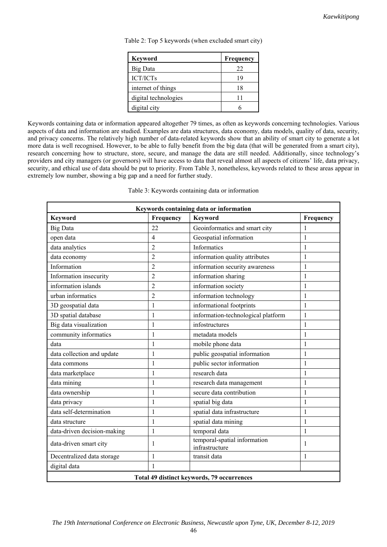| <b>Keyword</b>       | Frequency |
|----------------------|-----------|
| <b>Big Data</b>      | 22        |
| <b>ICT/ICTs</b>      | 19        |
| internet of things   | 18        |
| digital technologies |           |
| digital city         |           |

Table 2: Top 5 keywords (when excluded smart city)

Keywords containing data or information appeared altogether 79 times, as often as keywords concerning technologies. Various aspects of data and information are studied. Examples are data structures, data economy, data models, quality of data, security, and privacy concerns. The relatively high number of data-related keywords show that an ability of smart city to generate a lot more data is well recognised. However, to be able to fully benefit from the big data (that will be generated from a smart city), research concerning how to structure, store, secure, and manage the data are still needed. Additionally, since technology's providers and city managers (or governors) will have access to data that reveal almost all aspects of citizens' life, data privacy, security, and ethical use of data should be put to priority. From Table 3, nonetheless, keywords related to these areas appear in extremely low number, showing a big gap and a need for further study.

Table 3: Keywords containing data or information

| Keywords containing data or information    |                |                                                |              |  |  |
|--------------------------------------------|----------------|------------------------------------------------|--------------|--|--|
| <b>Keyword</b>                             | Frequency      | <b>Keyword</b>                                 | Frequency    |  |  |
| Big Data                                   | 22             | Geoinformatics and smart city                  | 1            |  |  |
| open data                                  | $\overline{4}$ | Geospatial information                         | $\mathbf{1}$ |  |  |
| data analytics                             | $\overline{2}$ | Informatics                                    | $\mathbf{1}$ |  |  |
| data economy                               | 2              | information quality attributes                 | 1            |  |  |
| Information                                | $\overline{2}$ | information security awareness                 | $\mathbf{1}$ |  |  |
| Information insecurity                     | $\overline{2}$ | information sharing                            | $\mathbf{1}$ |  |  |
| information islands                        | $\overline{2}$ | information society                            | $\mathbf{1}$ |  |  |
| urban informatics                          | $\overline{2}$ | information technology                         | $\mathbf{1}$ |  |  |
| 3D geospatial data                         | 1              | informational footprints                       | $\mathbf{1}$ |  |  |
| 3D spatial database                        | $\mathbf{1}$   | information-technological platform             | $\mathbf{1}$ |  |  |
| Big data visualization                     | 1              | infostructures                                 | $\mathbf{1}$ |  |  |
| community informatics                      | 1              | metadata models                                | 1            |  |  |
| data                                       | $\mathbf{1}$   | mobile phone data                              | $\mathbf{1}$ |  |  |
| data collection and update                 | 1              | public geospatial information                  | 1            |  |  |
| data commons                               | 1              | public sector information                      | 1            |  |  |
| data marketplace                           | $\mathbf{1}$   | research data                                  | $\mathbf{1}$ |  |  |
| data mining                                | 1              | research data management                       | $\mathbf{1}$ |  |  |
| data ownership                             | 1              | secure data contribution                       | $\mathbf{1}$ |  |  |
| data privacy                               | 1              | spatial big data                               | $\mathbf{1}$ |  |  |
| data self-determination                    | $\mathbf{1}$   | spatial data infrastructure                    | $\mathbf{1}$ |  |  |
| data structure                             | 1              | spatial data mining                            | $\mathbf{1}$ |  |  |
| data-driven decision-making                | 1              | temporal data                                  | $\mathbf{1}$ |  |  |
| data-driven smart city                     | 1              | temporal-spatial information<br>infrastructure | 1            |  |  |
| Decentralized data storage                 | 1              | transit data                                   | 1            |  |  |
| digital data                               | 1              |                                                |              |  |  |
| Total 49 distinct keywords, 79 occurrences |                |                                                |              |  |  |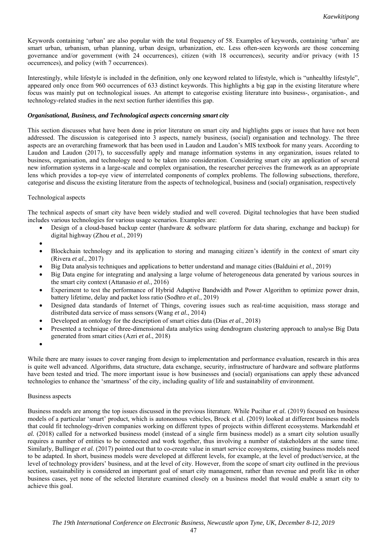Keywords containing 'urban' are also popular with the total frequency of 58. Examples of keywords, containing 'urban' are smart urban, urbanism, urban planning, urban design, urbanization, etc. Less often-seen keywords are those concerning governance and/or government (with 24 occurrences), citizen (with 18 occurrences), security and/or privacy (with 15 occurrences), and policy (with 7 occurrences).

Interestingly, while lifestyle is included in the definition, only one keyword related to lifestyle, which is "unhealthy lifestyle", appeared only once from 960 occurrences of 633 distinct keywords. This highlights a big gap in the existing literature where focus was mainly put on technological issues. An attempt to categorise existing literature into business-, organisation-, and technology-related studies in the next section further identifies this gap.

## *Organisational, Business, and Technological aspects concerning smart city*

This section discusses what have been done in prior literature on smart city and highlights gaps or issues that have not been addressed. The discussion is categorised into 3 aspects, namely business, (social) organisation and technology. The three aspects are an overarching framework that has been used in Laudon and Laudon's MIS textbook for many years. According to Laudon and Laudon (2017), to successfully apply and manage information systems in any organization, issues related to business, organisation, and technology need to be taken into consideration. Considering smart city an application of several new information systems in a large-scale and complex organisation, the researcher perceives the framework as an appropriate lens which provides a top-eye view of interrelated components of complex problems. The following subsections, therefore, categorise and discuss the existing literature from the aspects of technological, business and (social) organisation, respectively

## Technological aspects

The technical aspects of smart city have been widely studied and well covered. Digital technologies that have been studied includes various technologies for various usage scenarios. Examples are:

- Design of a cloud-based backup center (hardware & software platform for data sharing, exchange and backup) for digital highway (Zhou *et al.*, 2019)
- •
- Blockchain technology and its application to storing and managing citizen's identify in the context of smart city (Rivera *et al.*, 2017)
- Big Data analysis techniques and applications to better understand and manage cities (Balduini *et al.*, 2019)
- Big Data engine for integrating and analysing a large volume of heterogeneous data generated by various sources in the smart city context (Attanasio *et al.*, 2016)
- Experiment to test the performance of Hybrid Adaptive Bandwidth and Power Algorithm to optimize power drain, battery lifetime, delay and packet loss ratio (Sodhro *et al.*, 2019)
- Designed data standards of Internet of Things, covering issues such as real-time acquisition, mass storage and distributed data service of mass sensors (Wang *et al.*, 2014)
- Developed an ontology for the description of smart cities data (Dias *et al.*, 2018)
- Presented a technique of three-dimensional data analytics using dendrogram clustering approach to analyse Big Data generated from smart cities (Azri *et al.*, 2018)
- •

While there are many issues to cover ranging from design to implementation and performance evaluation, research in this area is quite well advanced. Algorithms, data structure, data exchange, security, infrastructure of hardware and software platforms have been tested and tried. The more important issue is how businesses and (social) organisations can apply these advanced technologies to enhance the 'smartness' of the city, including quality of life and sustainability of environment.

## Business aspects

Business models are among the top issues discussed in the previous literature. While Pucihar *et al.* (2019) focused on business models of a particular 'smart' product, which is autonomous vehicles, Brock et al. (2019) looked at different business models that could fit technology-driven companies working on different types of projects within different ecosystems. Markendahl *et al.* (2018) called for a networked business model (instead of a single firm business model) as a smart city solution usually requires a number of entities to be connected and work together, thus involving a number of stakeholders at the same time. Similarly, Bullinger *et al.* (2017) pointed out that to co-create value in smart service ecosystems, existing business models need to be adapted. In short, business models were developed at different levels, for example, at the level of product/service, at the level of technology providers' business, and at the level of city. However, from the scope of smart city outlined in the previous section, sustainability is considered an important goal of smart city management, rather than revenue and profit like in other business cases, yet none of the selected literature examined closely on a business model that would enable a smart city to achieve this goal.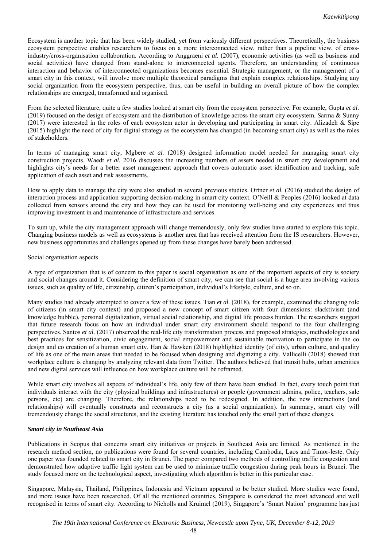Ecosystem is another topic that has been widely studied, yet from variously different perspectives. Theoretically, the business ecosystem perspective enables researchers to focus on a more interconnected view, rather than a pipeline view, of crossindustry/cross-organisation collaboration. According to Anggraeni *et al.* (2007), economic activities (as well as business and social activities) have changed from stand-alone to interconnected agents. Therefore, an understanding of continuous interaction and behavior of interconnected organizations becomes essential. Strategic management, or the management of a smart city in this context, will involve more multiple theoretical paradigms that explain complex relationships. Studying any social organization from the ecosystem perspective, thus, can be useful in building an overall picture of how the complex relationships are emerged, transformed and organised.

From the selected literature, quite a few studies looked at smart city from the ecosystem perspective. For example, Gupta *et al.* (2019) focused on the design of ecosystem and the distribution of knowledge across the smart city ecosystem. Sarma & Sunny (2017) were interested in the roles of each ecosystem actor in developing and participating in smart city. Alizadeh & Sipe (2015) highlight the need of city for digital strategy as the ecosystem has changed (in becoming smart city) as well as the roles of stakeholders.

In terms of managing smart city, Mgbere *et al.* (2018) designed information model needed for managing smart city construction projects. Waedt *et al.* 2016 discusses the increasing numbers of assets needed in smart city development and highlights city's needs for a better asset management approach that covers automatic asset identification and tracking, safe application of each asset and risk assessments.

How to apply data to manage the city were also studied in several previous studies. Ortner *et al.* (2016) studied the design of interaction process and application supporting decision-making in smart city context. O'Neill & Peoples (2016) looked at data collected from sensors around the city and how they can be used for monitoring well-being and city experiences and thus improving investment in and maintenance of infrastructure and services

To sum up, while the city management approach will change tremendously, only few studies have started to explore this topic. Changing business models as well as ecosystems is another area that has received attention from the IS researchers. However, new business opportunities and challenges opened up from these changes have barely been addressed.

## Social organisation aspects

A type of organization that is of concern to this paper is social organisation as one of the important aspects of city is society and social changes around it. Considering the definition of smart city, we can see that social is a huge area involving various issues, such as quality of life, citizenship, citizen's participation, individual's lifestyle, culture, and so on.

Many studies had already attempted to cover a few of these issues. Tian *et al.* (2018), for example, examined the changing role of citizens (in smart city context) and proposed a new concept of smart citizen with four dimensions: slacktivism (and knowledge bubble), personal digitalization, virtual social relationship, and digital life process burden. The researchers suggest that future research focus on how an individual under smart city environment should respond to the four challenging perspectives. Santos *et al.* (2017) observed the real-life city transformation process and proposed strategies, methodologies and best practices for sensitization, civic engagement, social empowerment and sustainable motivation to participate in the co design and co creation of a human smart city. Han & Hawken (2018) highlighted identity (of city), urban culture, and quality of life as one of the main areas that needed to be focused when designing and digitizing a city. Vallicelli (2018) showed that workplace culture is changing by analyzing relevant data from Twitter. The authors believed that transit hubs, urban amenities and new digital services will influence on how workplace culture will be reframed.

While smart city involves all aspects of individual's life, only few of them have been studied. In fact, every touch point that individuals interact with the city (physical buildings and infrastructures) or people (government admins, police, teachers, sale persons, etc) are changing. Therefore, the relationships need to be redesigned. In addition, the new interactions (and relationships) will eventually constructs and reconstructs a city (as a social organization). In summary, smart city will tremendously change the social structures, and the existing literature has touched only the small part of these changes.

## *Smart city in Southeast Asia*

Publications in Scopus that concerns smart city initiatives or projects in Southeast Asia are limited. As mentioned in the research method section, no publications were found for several countries, including Cambodia, Laos and Timor-leste. Only one paper was founded related to smart city in Brunei. The paper compared two methods of controlling traffic congestion and demonstrated how adaptive traffic light system can be used to minimize traffic congestion during peak hours in Brunei. The study focused more on the technological aspect, investigating which algorithm is better in this particular case.

Singapore, Malaysia, Thailand, Philippines, Indonesia and Vietnam appeared to be better studied. More studies were found, and more issues have been researched. Of all the mentioned countries, Singapore is considered the most advanced and well recognised in terms of smart city. According to Nicholls and Kruimel (2019), Singapore's 'Smart Nation' programme has just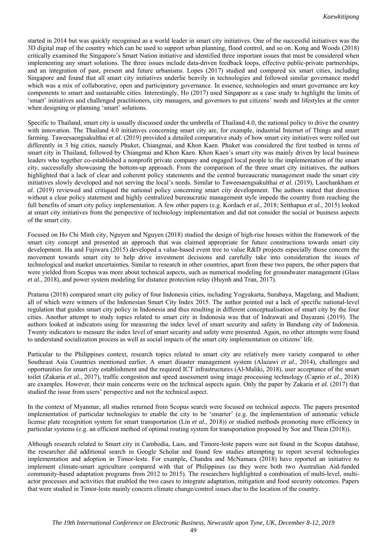started in 2014 but was quickly recognised as a world leader in smart city initiatives. One of the successful initiatives was the 3D digital map of the country which can be used to support urban planning, flood control, and so on. Kong and Woods (2018) critically examined the Singapore's Smart Nation initiative and identified three important issues that must be considered when implementing any smart solutions. The three issues include data-driven feedback loops, effective public-private partnerships, and an integration of past, present and future urbanisms. Lopes (2017) studied and compared six smart cities, including Singapore and found that all smart city initiatives underlie heavily in technologies and followed similar governance model which was a mix of collaborative, open and participatory governance. In essence, technologies and smart governance are key components to smart and sustainable cities. Interestingly, Ho (2017) used Singapore as a case study to highlight the limits of 'smart' initiatives and challenged practitioners, city managers, and governors to put citizens' needs and lifestyles at the center when designing or planning 'smart' solutions.

Specific to Thailand, smart city is usually discussed under the umbrella of Thailand 4.0, the national policy to drive the country with innovation. The Thailand 4.0 initiatives concerning smart city are, for example, industrial Internet of Things and smart farming. Taweesaengsakulthai *et al.* (2019) provided a detailed comparative study of how smart city initiatives were rolled out differently in 3 big cities, namely Phuket, Chiangmai, and Khon Kaen. Phuket was considered the first testbed in terms of smart city in Thailand, followed by Chiangmai and Khon Kaen. Khon Kaen's smart city was mainly driven by local business leaders who together co-established a nonprofit private company and engaged local people to the implementation of the smart city, successfully showcasing the bottom-up approach. From the comparison of the three smart city initiatives, the authors highlighted that a lack of clear and coherent policy statements and the central bureaucratic management made the smart city initiatives slowly developed and not serving the local's needs. Similar to Taweesaengsakulthai *et al.* (2019), Laochankham *et al.* (2019) reviewed and critiqued the national policy concerning smart city development. The authors stated that direction without a clear policy statement and highly centralized bureaucratic management style impede the country from reaching the full benefits of smart city policy implementation. A few other papers (e.g. Kordach *et al.*, 2018; Setthapun *et al.*, 2015) looked at smart city initiatives from the perspective of technology implementation and did not consider the social or business aspects of the smart city.

Focused on Ho Chi Minh city, Nguyen and Nguyen (2018) studied the design of high-rise houses within the framework of the smart city concept and presented an approach that was claimed appropriate for future constructions towards smart city development. Ha and Fujiwara (2015) developed a value-based event tree to value R&D projects especially those concern the movement towards smart city to help drive investment decisions and carefully take into consideration the issues of technological and market uncertainties. Similar to research in other countries, apart from these two papers, the other papers that were yielded from Scopus was more about technical aspects, such as numerical modeling for groundwater management (Glass *et al.*, 2018), and power system modeling for distance protection relay (Huynh and Tran, 2017).

Pratama (2018) compared smart city policy of four Indonesia cities, including Yogyakarta, Surabaya, Magelang, and Madium; all of which were winners of the Indonesian Smart City Index 2015. The author pointed out a lack of specific national-level regulation that guides smart city policy in Indonesia and thus resulting in different conceptualisation of smart city by the four cities. Another attempt to study topics related to smart city in Indonesia was that of Indrawati and Dayarani (2019). The authors looked at indicators using for measuring the index level of smart security and safety in Bandung city of Indonesia. Twenty indicators to measure the index level of smart security and safety were presented. Again, no other attempts were found to understand socialization process as well as social impacts of the smart city implementation on citizens' life.

Particular to the Philippines context, research topics related to smart city are relatively more variety compared to other Southeast Asia Countries mentioned earlier. A smart disaster management system (Alazawi *et al.*, 2014), challenges and opportunities for smart city establishment and the required ICT infrastructures (Al-Maliki, 2018), user acceptance of the smart toilet (Zakaria *et al.*, 2017), traffic congestion and speed assessment using image processing technology (Caprio *et al.*, 2018) are examples. However, their main concerns were on the technical aspects again. Only the paper by Zakaria *et al.* (2017) that studied the issue from users' perspective and not the technical aspect.

In the context of Myanmar, all studies returned from Scopus search were focused on technical aspects. The papers presented implementation of particular technologies to enable the city to be 'smarter' (e.g. the implementation of automatic vehicle license plate recognition system for smart transportation (Lin *et al.*, 2018)) or studied methods promoting more efficiency in particular systems (e.g. an efficient method of optimal routing system for transportation proposed by Soe and Thein (2018)).

Although research related to Smart city in Cambodia, Laos, and Timore-leste papers were not found in the Scopus database, the researcher did additional search in Google Scholar and found few studies attempting to report several technologies implementation and adoption in Timor-leste. For example, Chandra and McNamara (2018) have reported an initiative to implement climate-smart agriculture compared with that of Philippines (as they were both two Australian Aid-funded community-based adaptation programs from 2012 to 2015). The researchers highlighted a combination of multi-level, multiactor processes and activities that enabled the two cases to integrate adaptation, mitigation and food security outcomes. Papers that were studied in Timor-leste mainly concern climate change/control issues due to the location of the country.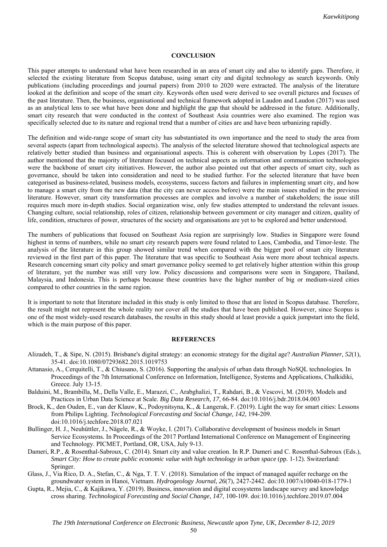#### **CONCLUSION**

This paper attempts to understand what have been researched in an area of smart city and also to identify gaps. Therefore, it selected the existing literature from Scopus database, using smart city and digital technology as search keywords. Only publications (including proceedings and journal papers) from 2010 to 2020 were extracted. The analysis of the literature looked at the definition and scope of the smart city. Keywords often used were derived to see overall pictures and focuses of the past literature. Then, the business, organisational and technical framework adopted in Laudon and Laudon (2017) was used as an analytical lens to see what have been done and highlight the gap that should be addressed in the future. Additionally, smart city research that were conducted in the context of Southeast Asia countries were also examined. The region was specifically selected due to its nature and regional trend that a number of cities are and have been urbanizing rapidly.

The definition and wide-range scope of smart city has substantiated its own importance and the need to study the area from several aspects (apart from technological aspects). The analysis of the selected literature showed that technological aspects are relatively better studied than business and organisational aspects. This is coherent with observation by Lopes (2017). The author mentioned that the majority of literature focused on technical aspects as information and communication technologies were the backbone of smart city initiatives. However, the author also pointed out that other aspects of smart city, such as governance, should be taken into consideration and need to be studied further. For the selected literature that have been categorised as business-related, business models, ecosystems, success factors and failures in implementing smart city, and how to manage a smart city from the new data (that the city can never access before) were the main issues studied in the previous literature. However, smart city transformation processes are complex and involve a number of stakeholders; the issue still requires much more in-depth studies. Social organization wise, only few studies attempted to understand the relevant issues. Changing culture, social relationship, roles of citizen, relationship between government or city manager and citizen, quality of life, condition, structures of power, structures of the society and organisations are yet to be explored and better understood.

The numbers of publications that focused on Southeast Asia region are surprisingly low. Studies in Singapore were found highest in terms of numbers, while no smart city research papers were found related to Laos, Cambodia, and Timor-leste. The analysis of the literature in this group showed similar trend when compared with the bigger pool of smart city literature reviewed in the first part of this paper. The literature that was specific to Southeast Asia were more about technical aspects. Research concerning smart city policy and smart governance policy seemed to get relatively higher attention within this group of literature, yet the number was still very low. Policy discussions and comparisons were seen in Singapore, Thailand, Malaysia, and Indonesia. This is perhaps because these countries have the higher number of big or medium-sized cities compared to other countries in the same region.

It is important to note that literature included in this study is only limited to those that are listed in Scopus database. Therefore, the result might not represent the whole reality nor cover all the studies that have been published. However, since Scopus is one of the most widely-used research databases, the results in this study should at least provide a quick jumpstart into the field, which is the main purpose of this paper.

#### **REFERENCES**

- Alizadeh, T., & Sipe, N. (2015). Brisbane's digital strategy: an economic strategy for the digital age? *Australian Planner, 52*(1), 35-41. doi:10.1080/07293682.2015.1019753
- Attanasio, A., Cerquitelli, T., & Chiusano, S. (2016). Supporting the analysis of urban data through NoSQL technologies*.* In Proceedings of the 7th International Conference on Information, Intelligence, Systems and Applications, Chalkidiki, Greece. July 13-15.
- Balduini, M., Brambilla, M., Della Valle, E., Marazzi, C., Arabghalizi, T., Rahdari, B., & Vescovi, M. (2019). Models and Practices in Urban Data Science at Scale. *Big Data Research, 17*, 66-84. doi:10.1016/j.bdr.2018.04.003
- Brock, K., den Ouden, E., van der Klauw, K., Podoynitsyna, K., & Langerak, F. (2019). Light the way for smart cities: Lessons from Philips Lighting. *Technological Forecasting and Social Change, 142*, 194-209. doi:10.1016/j.techfore.2018.07.021
- Bullinger, H. J., Neuhüttler, J., Nägele, R., & Woyke, I. (2017). Collaborative development of business models in Smart Service Ecosystems*.* In Proceedings of the 2017 Portland International Conference on Management of Engineering and Technology. PICMET, Portland, OR, USA, July 9-13.
- Dameri, R.P., & Rosenthal-Sabroux, C. (2014). Smart city and value creation. In R.P. Dameri and C. Rosenthal-Sabroux (Eds.), *Smart City: How to create public economic value with high technology in urban space* (pp. 1-12). Switzerland: Springer.
- Glass, J., Via Rico, D. A., Stefan, C., & Nga, T. T. V. (2018). Simulation of the impact of managed aquifer recharge on the groundwater system in Hanoi, Vietnam. *Hydrogeology Journal, 26*(7), 2427-2442. doi:10.1007/s10040-018-1779-1
- Gupta, R., Mejia, C., & Kajikawa, Y. (2019). Business, innovation and digital ecosystems landscape survey and knowledge cross sharing. *Technological Forecasting and Social Change, 147*, 100-109. doi:10.1016/j.techfore.2019.07.004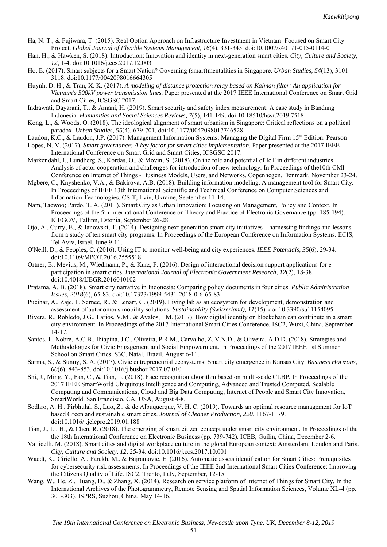- Ha, N. T., & Fujiwara, T. (2015). Real Option Approach on Infrastructure Investment in Vietnam: Focused on Smart City Project. *Global Journal of Flexible Systems Management, 16*(4), 331-345. doi:10.1007/s40171-015-0114-0
- Han, H., & Hawken, S. (2018). Introduction: Innovation and identity in next-generation smart cities. *City, Culture and Society, 12*, 1-4. doi:10.1016/j.ccs.2017.12.003
- Ho, E. (2017). Smart subjects for a Smart Nation? Governing (smart)mentalities in Singapore. *Urban Studies, 54*(13), 3101- 3118. doi:10.1177/0042098016664305
- Huynh, D. H., & Tran, X. K. (2017). *A modeling of distance protection relay based on Kalman filter: An application for Vietnam's 500kV power transmission lines.* Paper presented at the 2017 IEEE International Conference on Smart Grid and Smart Cities, ICSGSC 2017.
- Indrawati, Dayarani, T., & Amani, H. (2019). Smart security and safety index measurement: A case study in Bandung Indonesia. *Humanities and Social Sciences Reviews, 7*(5), 141-149. doi:10.18510/hssr.2019.7518
- Kong, L., & Woods, O. (2018). The ideological alignment of smart urbanism in Singapore: Critical reflections on a political paradox. *Urban Studies, 55*(4), 679-701. doi:10.1177/0042098017746528
- Laudon, K.C., & Laudon, J.P. (2017). Management Information Systems: Managing the Digital Firm 15th Edition. Pearson
- Lopes, N. V. (2017). *Smart governance: A key factor for smart cities implementation.* Paper presented at the 2017 IEEE International Conference on Smart Grid and Smart Cities, ICSGSC 2017.
- Markendahl, J., Lundberg, S., Kordas, O., & Movin, S. (2018). On the role and potential of IoT in different industries: Analysis of actor cooperation and challenges for introduction of new technology*.* In Proceedings of the10th CMI Conference on Internet of Things - Business Models, Users, and Networks. Copenhegen, Denmark, November 23-24.
- Mgbere, C., Knyshenko, V.A., & Bakirova, A.B. (2018). Building information modeling. A management tool for Smart City*.* In Proceedings of IEEE 13th International Scientific and Technical Conference on Computer Sciences and Information Technologies. CSIT, Lviv, Ukraine, September 11-14.
- Nam, Taewoo; Pardo, T. A. (2011). Smart City as Urban Innovation: Focusing on Management, Policy and Context. In Proceedings of the 5th International Conference on Theory and Practice of Electronic Governance (pp. 185-194). ICEGOV, Tallinn, Estonia, September 26-28.
- Ojo, A., Curry, E., & Janowski, T. (2014). Designing next generation smart city initiatives harnessing findings and lessons from a study of ten smart city programs. In Proceedings of the European Conference on Information Systems. ECIS, Tel Aviv, Israel, June 9-11.
- O'Neill, D., & Peoples, C. (2016). Using IT to monitor well-being and city experiences. *IEEE Potentials, 35*(6), 29-34. doi:10.1109/MPOT.2016.2555518
- Ortner, E., Mevius, M., Wiedmann, P., & Kurz, F. (2016). Design of interactional decision support applications for eparticipation in smart cities. *International Journal of Electronic Government Research, 12*(2), 18-38. doi:10.4018/IJEGR.2016040102
- Pratama, A. B. (2018). Smart city narrative in Indonesia: Comparing policy documents in four cities. *Public Administration Issues, 2018*(6), 65-83. doi:10.17323/1999-5431-2018-0-6-65-83
- Pucihar, A., Zajc, I., Sernec, R., & Lenart, G. (2019). Living lab as an ecosystem for development, demonstration and assessment of autonomous mobility solutions. *Sustainability (Switzerland), 11*(15). doi:10.3390/su11154095
- Rivera, R., Robledo, J.G., Larios, V.M., & Avalos, J.M. (2017). How digital identity on blockchain can contribute in a smart city environment. In Proceedings of the 2017 International Smart Cities Conference. ISC2, Wuxi, China, September 14-17.
- Santos, I., Nobre, A.C.B., Ibiapina, J.C., Oliveira, P.R.M., Carvalho, Z. V.N.D., & Oliveira, A.D.D. (2018). Strategies and Methodologies for Civic Engagement and Social Empowerment. In Proceedings of the 2017 IEEE 1st Summer School on Smart Cities. S3C, Natal, Brazil, August 6-11.
- Sarma, S., & Sunny, S. A. (2017). Civic entrepreneurial ecosystems: Smart city emergence in Kansas City. *Business Horizons, 60*(6), 843-853. doi:10.1016/j.bushor.2017.07.010
- Shi, J., Ming, Y., Fan, C., & Tian, L. (2018). Face recognition algorithm based on multi-scale CLBP*.* In Proceedings of the 2017 IEEE SmartWorld Ubiquitous Intelligence and Computing, Advanced and Trusted Computed, Scalable Computing and Communications, Cloud and Big Data Computing, Internet of People and Smart City Innovation, SmartWorld. San Francisco, CA, USA, August 4-8.
- Sodhro, A. H., Pirbhulal, S., Luo, Z., & de Albuquerque, V. H. C. (2019). Towards an optimal resource management for IoT based Green and sustainable smart cities. *Journal of Cleaner Production, 220*, 1167-1179. doi:10.1016/j.jclepro.2019.01.188
- Tian, J., Li, H., & Chen, R. (2018). The emerging of smart citizen concept under smart city environment*.* In Proceedings of the the 18th International Conference on Electronic Business (pp. 739-742). ICEB, Guilin, China, December 2-6.
- Vallicelli, M. (2018). Smart cities and digital workplace culture in the global European context: Amsterdam, London and Paris. *City, Culture and Society, 12*, 25-34. doi:10.1016/j.ccs.2017.10.001
- Waedt, K., Ciriello, A., Parekh, M., & Bajramovic, E. (2016). Automatic assets identification for Smart Cities: Prerequisites for cybersecurity risk assessments. In Proceedings of the IEEE 2nd International Smart Cities Conference: Improving the Citizens Quality of Life. ISC2, Trento, Italy, September, 12-15.
- Wang, W., He, Z., Huang, D., & Zhang, X. (2014). Research on service platform of Internet of Things for Smart City*.* In the International Archives of the Photogrammetry, Remote Sensing and Spatial Information Sciences, Volume XL-4 (pp. 301-303). ISPRS, Suzhou, China, May 14-16.